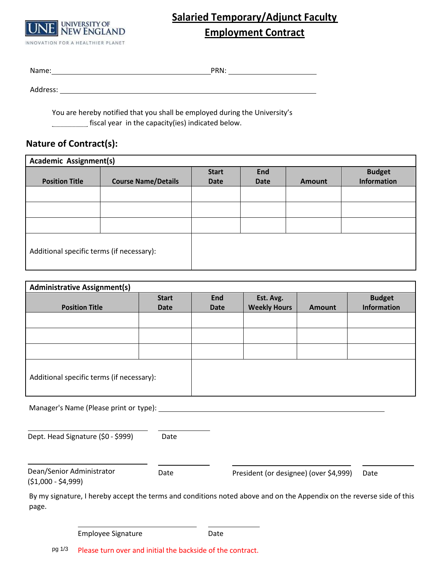

# **Salaried Temporary/Adjunct Faculty Employment Contract**

Name: PRN:

Address:

\_\_\_\_\_\_\_\_\_ You are hereby notified that you shall be employed during the University's fiscal year in the capacity(ies) indicated below.

## **Nature of Contract(s):**

| <b>Academic Assignment(s)</b>             |                            |              |             |               |                    |
|-------------------------------------------|----------------------------|--------------|-------------|---------------|--------------------|
|                                           |                            | <b>Start</b> | <b>End</b>  |               | <b>Budget</b>      |
| <b>Position Title</b>                     | <b>Course Name/Details</b> | Date         | <b>Date</b> | <b>Amount</b> | <b>Information</b> |
|                                           |                            |              |             |               |                    |
|                                           |                            |              |             |               |                    |
|                                           |                            |              |             |               |                    |
| Additional specific terms (if necessary): |                            |              |             |               |                    |

| <b>Administrative Assignment(s)</b>       |              |            |                     |               |               |
|-------------------------------------------|--------------|------------|---------------------|---------------|---------------|
|                                           | <b>Start</b> | <b>End</b> | Est. Avg.           |               | <b>Budget</b> |
| <b>Position Title</b>                     | Date         | Date       | <b>Weekly Hours</b> | <b>Amount</b> | Information   |
|                                           |              |            |                     |               |               |
|                                           |              |            |                     |               |               |
|                                           |              |            |                     |               |               |
| Additional specific terms (if necessary): |              |            |                     |               |               |

Manager's Name (Please print or type):

Dept. Head Signature (\$0 - \$999) Date

Dean/Senior Administrator (\$1,000 - \$4,999)

Date President (or designee) (over \$4,999) Date

By my signature, I hereby accept the terms and conditions noted above and on the Appendix on the reverse side of this page.

| Date               |
|--------------------|
|                    |
| Employee Signature |

pg 1/3 Please turn over and initial the backside of the contract.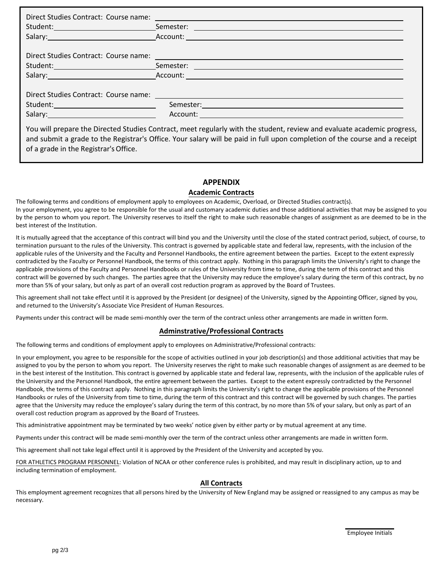| Student: Semester: Communication of the Semester: Communication of the Semester:                                                                                                                                                                      |
|-------------------------------------------------------------------------------------------------------------------------------------------------------------------------------------------------------------------------------------------------------|
|                                                                                                                                                                                                                                                       |
| Direct Studies Contract: Course name: 2008 2010 2022 2023 2024 2022 2023 2024 2022 2023 2024 2022 2023 2024 20                                                                                                                                        |
| Semester: with the contract of the contract of the contract of the contract of the contract of the contract of the contract of the contract of the contract of the contract of the contract of the contract of the contract of                        |
|                                                                                                                                                                                                                                                       |
| You will prepare the Directed Studies Contract, meet regularly with the student, review and evaluate academic progress,<br>and submit a grade to the Registrar's Office. Your salary will be paid in full upon completion of the course and a receipt |

of a grade in the Registrar'sOffice.

#### **APPENDIX**

#### **Academic Contracts**

The following terms and conditions of employment apply to employees on Academic, Overload, or Directed Studies contract(s). In your employment, you agree to be responsible for the usual and customary academic duties and those additional activities that may be assigned to you by the person to whom you report. The University reserves to itself the right to make such reasonable changes of assignment as are deemed to be in the best interest of the Institution.

It is mutually agreed that the acceptance of this contract will bind you and the University until the close of the stated contract period, subject, of course, to termination pursuant to the rules of the University. This contract is governed by applicable state and federal law, represents, with the inclusion of the applicable rules of the University and the Faculty and Personnel Handbooks, the entire agreement between the parties. Except to the extent expressly contradicted by the Faculty or Personnel Handbook, the terms of this contract apply. Nothing in this paragraph limits the University's right to change the applicable provisions of the Faculty and Personnel Handbooks or rules of the University from time to time, during the term of this contract and this contract will be governed by such changes. The parties agree that the University may reduce the employee's salary during the term of this contract, by no more than 5% of your salary, but only as part of an overall cost reduction program as approved by the Board of Trustees.

This agreement shall not take effect until it is approved by the President (or designee) of the University, signed by the Appointing Officer, signed by you, and returned to the University's Associate Vice President of Human Resources.

Payments under this contract will be made semi-monthly over the term of the contract unless other arrangements are made in written form.

#### **Adminstrative/Professional Contracts**

The following terms and conditions of employment apply to employees on Administrative/Professional contracts:

In your employment, you agree to be responsible for the scope of activities outlined in your job description(s) and those additional activities that may be assigned to you by the person to whom you report. The University reserves the right to make such reasonable changes of assignment as are deemed to be in the best interest of the Institution. This contract is governed by applicable state and federal law, represents, with the inclusion of the applicable rules of the University and the Personnel Handbook, the entire agreement between the parties. Except to the extent expressly contradicted by the Personnel Handbook, the terms of this contract apply. Nothing in this paragraph limits the University's right to change the applicable provisions of the Personnel Handbooks or rules of the University from time to time, during the term of this contract and this contract will be governed by such changes. The parties agree that the University may reduce the employee's salary during the term of this contract, by no more than 5% of your salary, but only as part of an overall cost reduction program as approved by the Board of Trustees.

This administrative appointment may be terminated by two weeks' notice given by either party or by mutual agreement at any time.

Payments under this contract will be made semi-monthly over the term of the contract unless other arrangements are made in written form.

This agreement shall not take legal effect until it is approved by the President of the University and accepted by you.

FOR ATHLETICS PROGRAM PERSONNEL: Violation of NCAA or other conference rules is prohibited, and may result in disciplinary action, up to and including termination of employment.

#### **All Contracts**

This employment agreement recognizes that all persons hired by the University of New England may be assigned or reassigned to any campus as may be necessary.